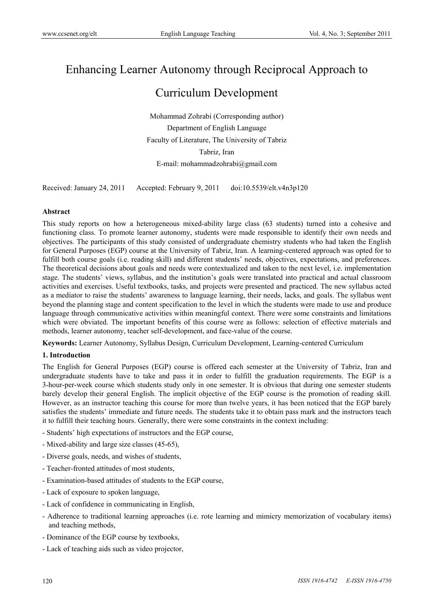# Enhancing Learner Autonomy through Reciprocal Approach to

# Curriculum Development

Mohammad Zohrabi (Corresponding author) Department of English Language Faculty of Literature, The University of Tabriz Tabriz, Iran E-mail: mohammadzohrabi@gmail.com

Received: January 24, 2011 Accepted: February 9, 2011 doi:10.5539/elt.v4n3p120

## **Abstract**

This study reports on how a heterogeneous mixed-ability large class (63 students) turned into a cohesive and functioning class. To promote learner autonomy, students were made responsible to identify their own needs and objectives. The participants of this study consisted of undergraduate chemistry students who had taken the English for General Purposes (EGP) course at the University of Tabriz, Iran. A learning-centered approach was opted for to fulfill both course goals (i.e. reading skill) and different students' needs, objectives, expectations, and preferences. The theoretical decisions about goals and needs were contextualized and taken to the next level, i.e. implementation stage. The students' views, syllabus, and the institution's goals were translated into practical and actual classroom activities and exercises. Useful textbooks, tasks, and projects were presented and practiced. The new syllabus acted as a mediator to raise the students' awareness to language learning, their needs, lacks, and goals. The syllabus went beyond the planning stage and content specification to the level in which the students were made to use and produce language through communicative activities within meaningful context. There were some constraints and limitations which were obviated. The important benefits of this course were as follows: selection of effective materials and methods, learner autonomy, teacher self-development, and face-value of the course.

**Keywords:** Learner Autonomy, Syllabus Design, Curriculum Development, Learning-centered Curriculum

## **1. Introduction**

The English for General Purposes (EGP) course is offered each semester at the University of Tabriz, Iran and undergraduate students have to take and pass it in order to fulfill the graduation requirements. The EGP is a 3-hour-per-week course which students study only in one semester. It is obvious that during one semester students barely develop their general English. The implicit objective of the EGP course is the promotion of reading skill. However, as an instructor teaching this course for more than twelve years, it has been noticed that the EGP barely satisfies the students' immediate and future needs. The students take it to obtain pass mark and the instructors teach it to fulfill their teaching hours. Generally, there were some constraints in the context including:

- Students' high expectations of instructors and the EGP course,
- Mixed-ability and large size classes (45-65),
- Diverse goals, needs, and wishes of students,
- Teacher-fronted attitudes of most students,
- Examination-based attitudes of students to the EGP course,
- Lack of exposure to spoken language,
- Lack of confidence in communicating in English,
- Adherence to traditional learning approaches (i.e. rote learning and mimicry memorization of vocabulary items) and teaching methods,
- Dominance of the EGP course by textbooks,
- Lack of teaching aids such as video projector,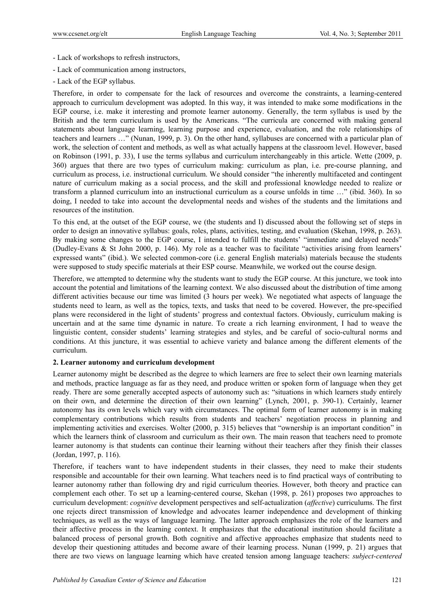- Lack of workshops to refresh instructors,
- Lack of communication among instructors,
- Lack of the EGP syllabus.

Therefore, in order to compensate for the lack of resources and overcome the constraints, a learning-centered approach to curriculum development was adopted. In this way, it was intended to make some modifications in the EGP course, i.e. make it interesting and promote learner autonomy. Generally, the term syllabus is used by the British and the term curriculum is used by the Americans. "The curricula are concerned with making general statements about language learning, learning purpose and experience, evaluation, and the role relationships of teachers and learners …" (Nunan, 1999, p. 3). On the other hand, syllabuses are concerned with a particular plan of work, the selection of content and methods, as well as what actually happens at the classroom level. However, based on Robinson (1991, p. 33), I use the terms syllabus and curriculum interchangeably in this article. Wette (2009, p. 360) argues that there are two types of curriculum making: curriculum as plan, i.e. pre-course planning, and curriculum as process, i.e. instructional curriculum. We should consider "the inherently multifaceted and contingent nature of curriculum making as a social process, and the skill and professional knowledge needed to realize or transform a planned curriculum into an instructional curriculum as a course unfolds in time …" (ibid. 360). In so doing, I needed to take into account the developmental needs and wishes of the students and the limitations and resources of the institution.

To this end, at the outset of the EGP course, we (the students and I) discussed about the following set of steps in order to design an innovative syllabus: goals, roles, plans, activities, testing, and evaluation (Skehan, 1998, p. 263). By making some changes to the EGP course, I intended to fulfill the students' "immediate and delayed needs" (Dudley-Evans & St John 2000, p. 146). My role as a teacher was to facilitate "activities arising from learners' expressed wants" (ibid.). We selected common-core (i.e. general English materials) materials because the students were supposed to study specific materials at their ESP course. Meanwhile, we worked out the course design.

Therefore, we attempted to determine why the students want to study the EGP course. At this juncture, we took into account the potential and limitations of the learning context. We also discussed about the distribution of time among different activities because our time was limited (3 hours per week). We negotiated what aspects of language the students need to learn, as well as the topics, texts, and tasks that need to be covered. However, the pre-specified plans were reconsidered in the light of students' progress and contextual factors. Obviously, curriculum making is uncertain and at the same time dynamic in nature. To create a rich learning environment, I had to weave the linguistic content, consider students' learning strategies and styles, and be careful of socio-cultural norms and conditions. At this juncture, it was essential to achieve variety and balance among the different elements of the curriculum.

## **2. Learner autonomy and curriculum development**

Learner autonomy might be described as the degree to which learners are free to select their own learning materials and methods, practice language as far as they need, and produce written or spoken form of language when they get ready. There are some generally accepted aspects of autonomy such as: "situations in which learners study entirely on their own, and determine the direction of their own learning" (Lynch, 2001, p. 390-1). Certainly, learner autonomy has its own levels which vary with circumstances. The optimal form of learner autonomy is in making complementary contributions which results from students and teachers' negotiation process in planning and implementing activities and exercises. Wolter (2000, p. 315) believes that "ownership is an important condition" in which the learners think of classroom and curriculum as their own. The main reason that teachers need to promote learner autonomy is that students can continue their learning without their teachers after they finish their classes (Jordan, 1997, p. 116).

Therefore, if teachers want to have independent students in their classes, they need to make their students responsible and accountable for their own learning. What teachers need is to find practical ways of contributing to learner autonomy rather than following dry and rigid curriculum theories. However, both theory and practice can complement each other. To set up a learning-centered course, Skehan (1998, p. 261) proposes two approaches to curriculum development: *cognitive* development perspectives and self-actualization (*affective*) curriculums. The first one rejects direct transmission of knowledge and advocates learner independence and development of thinking techniques, as well as the ways of language learning. The latter approach emphasizes the role of the learners and their affective process in the learning context. It emphasizes that the educational institution should facilitate a balanced process of personal growth. Both cognitive and affective approaches emphasize that students need to develop their questioning attitudes and become aware of their learning process. Nunan (1999, p. 21) argues that there are two views on language learning which have created tension among language teachers: *subject-centered*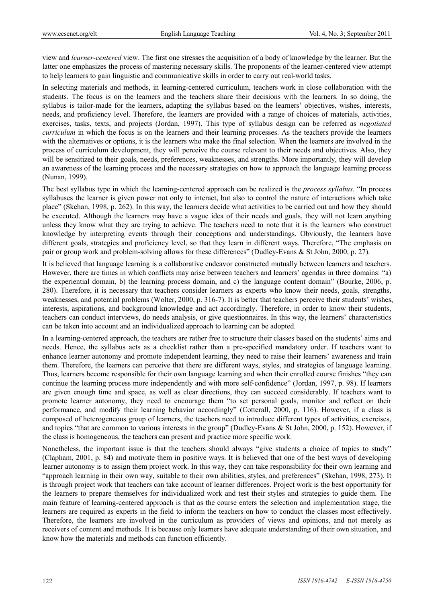view and *learner-centered* view. The first one stresses the acquisition of a body of knowledge by the learner. But the latter one emphasizes the process of mastering necessary skills. The proponents of the learner-centered view attempt to help learners to gain linguistic and communicative skills in order to carry out real-world tasks.

In selecting materials and methods, in learning-centered curriculum, teachers work in close collaboration with the students. The focus is on the learners and the teachers share their decisions with the learners. In so doing, the syllabus is tailor-made for the learners, adapting the syllabus based on the learners' objectives, wishes, interests, needs, and proficiency level. Therefore, the learners are provided with a range of choices of materials, activities, exercises, tasks, texts, and projects (Jordan, 1997). This type of syllabus design can be referred as *negotiated curriculum* in which the focus is on the learners and their learning processes. As the teachers provide the learners with the alternatives or options, it is the learners who make the final selection. When the learners are involved in the process of curriculum development, they will perceive the course relevant to their needs and objectives. Also, they will be sensitized to their goals, needs, preferences, weaknesses, and strengths. More importantly, they will develop an awareness of the learning process and the necessary strategies on how to approach the language learning process (Nunan, 1999).

The best syllabus type in which the learning-centered approach can be realized is the *process syllabus*. "In process syllabuses the learner is given power not only to interact, but also to control the nature of interactions which take place" (Skehan, 1998, p. 262). In this way, the learners decide what activities to be carried out and how they should be executed. Although the learners may have a vague idea of their needs and goals, they will not learn anything unless they know what they are trying to achieve. The teachers need to note that it is the learners who construct knowledge by interpreting events through their conceptions and understandings. Obviously, the learners have different goals, strategies and proficiency level, so that they learn in different ways. Therefore, "The emphasis on pair or group work and problem-solving allows for these differences" (Dudley-Evans & St John, 2000, p. 27).

It is believed that language learning is a collaborative endeavor constructed mutually between learners and teachers. However, there are times in which conflicts may arise between teachers and learners' agendas in three domains: "a) the experiential domain, b) the learning process domain, and c) the language content domain" (Bourke, 2006, p. 280). Therefore, it is necessary that teachers consider learners as experts who know their needs, goals, strengths, weaknesses, and potential problems (Wolter, 2000, p. 316-7). It is better that teachers perceive their students' wishes, interests, aspirations, and background knowledge and act accordingly. Therefore, in order to know their students, teachers can conduct interviews, do needs analysis, or give questionnaires. In this way, the learners' characteristics can be taken into account and an individualized approach to learning can be adopted.

In a learning-centered approach, the teachers are rather free to structure their classes based on the students' aims and needs. Hence, the syllabus acts as a checklist rather than a pre-specified mandatory order. If teachers want to enhance learner autonomy and promote independent learning, they need to raise their learners' awareness and train them. Therefore, the learners can perceive that there are different ways, styles, and strategies of language learning. Thus, learners become responsible for their own language learning and when their enrolled course finishes "they can continue the learning process more independently and with more self-confidence" (Jordan, 1997, p. 98). If learners are given enough time and space, as well as clear directions, they can succeed considerably. If teachers want to promote learner autonomy, they need to encourage them "to set personal goals, monitor and reflect on their performance, and modify their learning behavior accordingly" (Cotterall, 2000, p. 116). However, if a class is composed of heterogeneous group of learners, the teachers need to introduce different types of activities, exercises, and topics "that are common to various interests in the group" (Dudley-Evans & St John, 2000, p. 152). However, if the class is homogeneous, the teachers can present and practice more specific work.

Nonetheless, the important issue is that the teachers should always "give students a choice of topics to study" (Clapham, 2001, p. 84) and motivate them in positive ways. It is believed that one of the best ways of developing learner autonomy is to assign them project work. In this way, they can take responsibility for their own learning and "approach learning in their own way, suitable to their own abilities, styles, and preferences" (Skehan, 1998, 273). It is through project work that teachers can take account of learner differences. Project work is the best opportunity for the learners to prepare themselves for individualized work and test their styles and strategies to guide them. The main feature of learning-centered approach is that as the course enters the selection and implementation stage, the learners are required as experts in the field to inform the teachers on how to conduct the classes most effectively. Therefore, the learners are involved in the curriculum as providers of views and opinions, and not merely as receivers of content and methods. It is because only learners have adequate understanding of their own situation, and know how the materials and methods can function efficiently.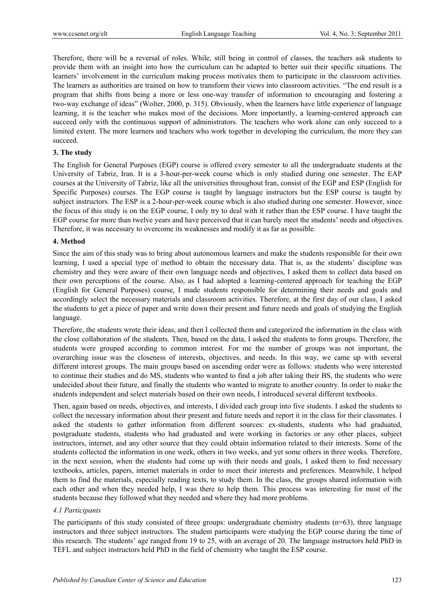Therefore, there will be a reversal of roles. While, still being in control of classes, the teachers ask students to provide them with an insight into how the curriculum can be adapted to better suit their specific situations. The learners' involvement in the curriculum making process motivates them to participate in the classroom activities. The learners as authorities are trained on how to transform their views into classroom activities. "The end result is a program that shifts from being a more or less one-way transfer of information to encouraging and fostering a two-way exchange of ideas" (Wolter, 2000, p. 315). Obviously, when the learners have little experience of language learning, it is the teacher who makes most of the decisions. More importantly, a learning-centered approach can succeed only with the continuous support of administrators. The teachers who work alone can only succeed to a limited extent. The more learners and teachers who work together in developing the curriculum, the more they can succeed.

#### **3. The study**

The English for General Purposes (EGP) course is offered every semester to all the undergraduate students at the University of Tabriz, Iran. It is a 3-hour-per-week course which is only studied during one semester. The EAP courses at the University of Tabriz, like all the universities throughout Iran, consist of the EGP and ESP (English for Specific Purposes) courses. The EGP course is taught by language instructors but the ESP course is taught by subject instructors. The ESP is a 2-hour-per-week course which is also studied during one semester. However, since the focus of this study is on the EGP course, I only try to deal with it rather than the ESP course. I have taught the EGP course for more than twelve years and have perceived that it can barely meet the students' needs and objectives. Therefore, it was necessary to overcome its weaknesses and modify it as far as possible.

#### **4. Method**

Since the aim of this study was to bring about autonomous learners and make the students responsible for their own learning, I used a special type of method to obtain the necessary data. That is, as the students' discipline was chemistry and they were aware of their own language needs and objectives, I asked them to collect data based on their own perceptions of the course. Also, as I had adopted a learning-centered approach for teaching the EGP (English for General Purposes) course, I made students responsible for determining their needs and goals and accordingly select the necessary materials and classroom activities. Therefore, at the first day of our class, I asked the students to get a piece of paper and write down their present and future needs and goals of studying the English language.

Therefore, the students wrote their ideas, and then I collected them and categorized the information in the class with the close collaboration of the students. Then, based on the data, I asked the students to form groups. Therefore, the students were grouped according to common interest. For me the number of groups was not important, the overarching issue was the closeness of interests, objectives, and needs. In this way, we came up with several different interest groups. The main groups based on ascending order were as follows: students who were interested to continue their studies and do MS, students who wanted to find a job after taking their BS, the students who were undecided about their future, and finally the students who wanted to migrate to another country. In order to make the students independent and select materials based on their own needs, I introduced several different textbooks.

Then, again based on needs, objectives, and interests, I divided each group into five students. I asked the students to collect the necessary information about their present and future needs and report it in the class for their classmates. I asked the students to gather information from different sources: ex-students, students who had graduated, postgraduate students, students who had graduated and were working in factories or any other places, subject instructors, internet, and any other source that they could obtain information related to their interests. Some of the students collected the information in one week, others in two weeks, and yet some others in three weeks. Therefore, in the next session, when the students had come up with their needs and goals, I asked them to find necessary textbooks, articles, papers, internet materials in order to meet their interests and preferences. Meanwhile, I helped them to find the materials, especially reading texts, to study them. In the class, the groups shared information with each other and when they needed help, I was there to help them. This process was interesting for most of the students because they followed what they needed and where they had more problems.

## *4.1 Participants*

The participants of this study consisted of three groups: undergraduate chemistry students  $(n=63)$ , three language instructors and three subject instructors. The student participants were studying the EGP course during the time of this research. The students' age ranged from 19 to 25, with an average of 20. The language instructors held PhD in TEFL and subject instructors held PhD in the field of chemistry who taught the ESP course.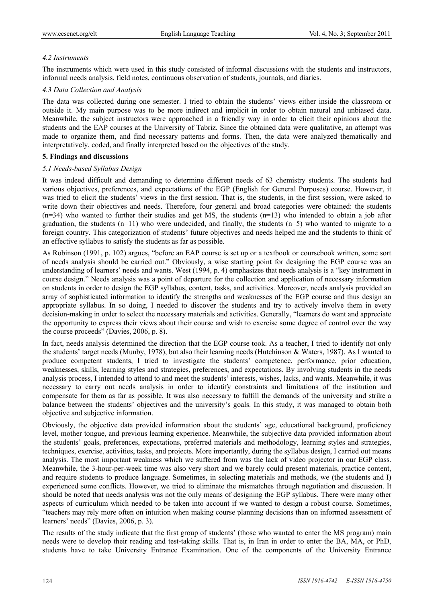## *4.2 Instruments*

The instruments which were used in this study consisted of informal discussions with the students and instructors, informal needs analysis, field notes, continuous observation of students, journals, and diaries.

## *4.3 Data Collection and Analysis*

The data was collected during one semester. I tried to obtain the students' views either inside the classroom or outside it. My main purpose was to be more indirect and implicit in order to obtain natural and unbiased data. Meanwhile, the subject instructors were approached in a friendly way in order to elicit their opinions about the students and the EAP courses at the University of Tabriz. Since the obtained data were qualitative, an attempt was made to organize them, and find necessary patterns and forms. Then, the data were analyzed thematically and interpretatively, coded, and finally interpreted based on the objectives of the study.

#### **5. Findings and discussions**

#### *5.1 Needs-based Syllabus Design*

It was indeed difficult and demanding to determine different needs of 63 chemistry students. The students had various objectives, preferences, and expectations of the EGP (English for General Purposes) course. However, it was tried to elicit the students' views in the first session. That is, the students, in the first session, were asked to write down their objectives and needs. Therefore, four general and broad categories were obtained: the students  $(n=34)$  who wanted to further their studies and get MS, the students  $(n=13)$  who intended to obtain a job after graduation, the students  $(n=11)$  who were undecided, and finally, the students  $(n=5)$  who wanted to migrate to a foreign country. This categorization of students' future objectives and needs helped me and the students to think of an effective syllabus to satisfy the students as far as possible.

As Robinson (1991, p. 102) argues, "before an EAP course is set up or a textbook or coursebook written, some sort of needs analysis should be carried out." Obviously, a wise starting point for designing the EGP course was an understanding of learners' needs and wants. West (1994, p. 4) emphasizes that needs analysis is a "key instrument in course design." Needs analysis was a point of departure for the collection and application of necessary information on students in order to design the EGP syllabus, content, tasks, and activities. Moreover, needs analysis provided an array of sophisticated information to identify the strengths and weaknesses of the EGP course and thus design an appropriate syllabus. In so doing, I needed to discover the students and try to actively involve them in every decision-making in order to select the necessary materials and activities. Generally, "learners do want and appreciate the opportunity to express their views about their course and wish to exercise some degree of control over the way the course proceeds" (Davies, 2006, p. 8).

In fact, needs analysis determined the direction that the EGP course took. As a teacher, I tried to identify not only the students' target needs (Munby, 1978), but also their learning needs (Hutchinson & Waters, 1987). As I wanted to produce competent students, I tried to investigate the students' competence, performance, prior education, weaknesses, skills, learning styles and strategies, preferences, and expectations. By involving students in the needs analysis process, I intended to attend to and meet the students' interests, wishes, lacks, and wants. Meanwhile, it was necessary to carry out needs analysis in order to identify constraints and limitations of the institution and compensate for them as far as possible. It was also necessary to fulfill the demands of the university and strike a balance between the students' objectives and the university's goals. In this study, it was managed to obtain both objective and subjective information.

Obviously, the objective data provided information about the students' age, educational background, proficiency level, mother tongue, and previous learning experience. Meanwhile, the subjective data provided information about the students' goals, preferences, expectations, preferred materials and methodology, learning styles and strategies, techniques, exercise, activities, tasks, and projects. More importantly, during the syllabus design, I carried out means analysis. The most important weakness which we suffered from was the lack of video projector in our EGP class. Meanwhile, the 3-hour-per-week time was also very short and we barely could present materials, practice content, and require students to produce language. Sometimes, in selecting materials and methods, we (the students and I) experienced some conflicts. However, we tried to eliminate the mismatches through negotiation and discussion. It should be noted that needs analysis was not the only means of designing the EGP syllabus. There were many other aspects of curriculum which needed to be taken into account if we wanted to design a robust course. Sometimes, "teachers may rely more often on intuition when making course planning decisions than on informed assessment of learners' needs" (Davies, 2006, p. 3).

The results of the study indicate that the first group of students' (those who wanted to enter the MS program) main needs were to develop their reading and test-taking skills. That is, in Iran in order to enter the BA, MA, or PhD, students have to take University Entrance Examination. One of the components of the University Entrance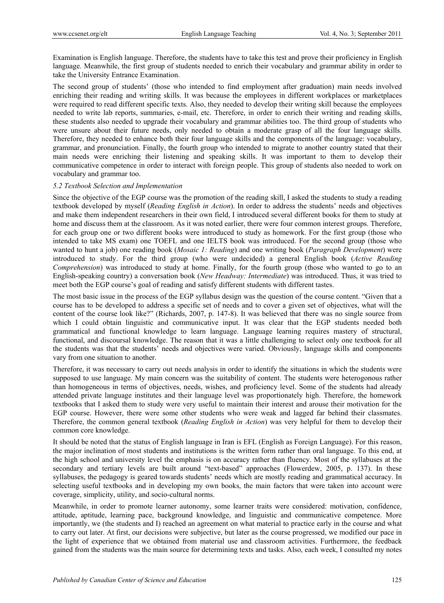Examination is English language. Therefore, the students have to take this test and prove their proficiency in English language. Meanwhile, the first group of students needed to enrich their vocabulary and grammar ability in order to take the University Entrance Examination.

The second group of students' (those who intended to find employment after graduation) main needs involved enriching their reading and writing skills. It was because the employees in different workplaces or marketplaces were required to read different specific texts. Also, they needed to develop their writing skill because the employees needed to write lab reports, summaries, e-mail, etc. Therefore, in order to enrich their writing and reading skills, these students also needed to upgrade their vocabulary and grammar abilities too. The third group of students who were unsure about their future needs, only needed to obtain a moderate grasp of all the four language skills. Therefore, they needed to enhance both their four language skills and the components of the language: vocabulary, grammar, and pronunciation. Finally, the fourth group who intended to migrate to another country stated that their main needs were enriching their listening and speaking skills. It was important to them to develop their communicative competence in order to interact with foreign people. This group of students also needed to work on vocabulary and grammar too.

## *5.2 Textbook Selection and Implementation*

Since the objective of the EGP course was the promotion of the reading skill, I asked the students to study a reading textbook developed by myself (*Reading English in Action*). In order to address the students' needs and objectives and make them independent researchers in their own field, I introduced several different books for them to study at home and discuss them at the classroom. As it was noted earlier, there were four common interest groups. Therefore, for each group one or two different books were introduced to study as homework. For the first group (those who intended to take MS exam) one TOEFL and one IELTS book was introduced. For the second group (those who wanted to hunt a job) one reading book (*Mosaic 1: Reading*) and one writing book (*Paragraph Development*) were introduced to study. For the third group (who were undecided) a general English book (*Active Reading Comprehension*) was introduced to study at home. Finally, for the fourth group (those who wanted to go to an English-speaking country) a conversation book (*New Headway: Intermediate*) was introduced. Thus, it was tried to meet both the EGP course's goal of reading and satisfy different students with different tastes.

The most basic issue in the process of the EGP syllabus design was the question of the course content. "Given that a course has to be developed to address a specific set of needs and to cover a given set of objectives, what will the content of the course look like?" (Richards, 2007, p. 147-8). It was believed that there was no single source from which I could obtain linguistic and communicative input. It was clear that the EGP students needed both grammatical and functional knowledge to learn language. Language learning requires mastery of structural, functional, and discoursal knowledge. The reason that it was a little challenging to select only one textbook for all the students was that the students' needs and objectives were varied. Obviously, language skills and components vary from one situation to another.

Therefore, it was necessary to carry out needs analysis in order to identify the situations in which the students were supposed to use language. My main concern was the suitability of content. The students were heterogonous rather than homogeneous in terms of objectives, needs, wishes, and proficiency level. Some of the students had already attended private language institutes and their language level was proportionately high. Therefore, the homework textbooks that I asked them to study were very useful to maintain their interest and arouse their motivation for the EGP course. However, there were some other students who were weak and lagged far behind their classmates. Therefore, the common general textbook (*Reading English in Action*) was very helpful for them to develop their common core knowledge.

It should be noted that the status of English language in Iran is EFL (English as Foreign Language). For this reason, the major inclination of most students and institutions is the written form rather than oral language. To this end, at the high school and university level the emphasis is on accuracy rather than fluency. Most of the syllabuses at the secondary and tertiary levels are built around "text-based" approaches (Flowerdew, 2005, p. 137). In these syllabuses, the pedagogy is geared towards students' needs which are mostly reading and grammatical accuracy. In selecting useful textbooks and in developing my own books, the main factors that were taken into account were coverage, simplicity, utility, and socio-cultural norms.

Meanwhile, in order to promote learner autonomy, some learner traits were considered: motivation, confidence, attitude, aptitude, learning pace, background knowledge, and linguistic and communicative competence. More importantly, we (the students and I) reached an agreement on what material to practice early in the course and what to carry out later. At first, our decisions were subjective, but later as the course progressed, we modified our pace in the light of experience that we obtained from material use and classroom activities. Furthermore, the feedback gained from the students was the main source for determining texts and tasks. Also, each week, I consulted my notes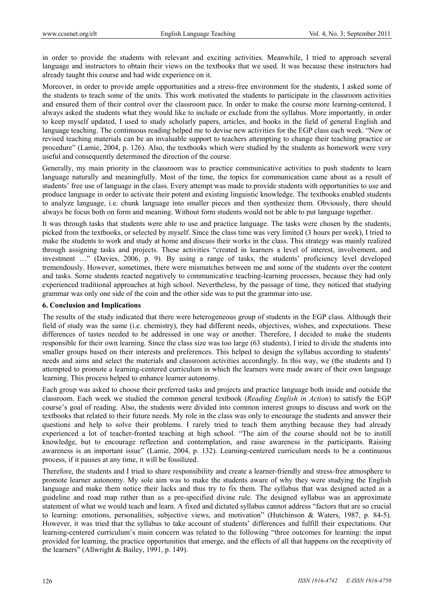in order to provide the students with relevant and exciting activities. Meanwhile, I tried to approach several language and instructors to obtain their views on the textbooks that we used. It was because these instructors had already taught this course and had wide experience on it.

Moreover, in order to provide ample opportunities and a stress-free environment for the students, I asked some of the students to teach some of the units. This work motivated the students to participate in the classroom activities and ensured them of their control over the classroom pace. In order to make the course more learning-centered, I always asked the students what they would like to include or exclude from the syllabus. More importantly, in order to keep myself updated, I used to study scholarly papers, articles, and books in the field of general English and language teaching. The continuous reading helped me to devise new activities for the EGP class each week. "New or revised teaching materials can be an invaluable support to teachers attempting to change their teaching practice or procedure" (Lamie, 2004, p. 126). Also, the textbooks which were studied by the students as homework were very useful and consequently determined the direction of the course.

Generally, my main priority in the classroom was to practice communicative activities to push students to learn language naturally and meaningfully. Most of the time, the topics for communication came about as a result of students' free use of language in the class. Every attempt was made to provide students with opportunities to use and produce language in order to activate their potent and existing linguistic knowledge. The textbooks enabled students to analyze language, i.e. chunk language into smaller pieces and then synthesize them. Obviously, there should always be focus both on form and meaning. Without form students would not be able to put language together.

It was through tasks that students were able to use and practice language. The tasks were chosen by the students, picked from the textbooks, or selected by myself. Since the class time was very limited (3 hours per week), I tried to make the students to work and study at home and discuss their works in the class. This strategy was mainly realized through assigning tasks and projects. These activities "created in learners a level of interest, involvement, and investment …" (Davies, 2006, p. 9). By using a range of tasks, the students' proficiency level developed tremendously. However, sometimes, there were mismatches between me and some of the students over the content and tasks. Some students reacted negatively to communicative teaching-learning processes, because they had only experienced traditional approaches at high school. Nevertheless, by the passage of time, they noticed that studying grammar was only one side of the coin and the other side was to put the grammar into use.

## **6. Conclusion and Implications**

The results of the study indicated that there were heterogeneous group of students in the EGP class. Although their field of study was the same (i.e. chemistry), they had different needs, objectives, wishes, and expectations. These differences of tastes needed to be addressed in one way or another. Therefore, I decided to make the students responsible for their own learning. Since the class size was too large (63 students), I tried to divide the students into smaller groups based on their interests and preferences. This helped to design the syllabus according to students' needs and aims and select the materials and classroom activities accordingly. In this way, we (the students and I) attempted to promote a learning-centered curriculum in which the learners were made aware of their own language learning. This process helped to enhance learner autonomy.

Each group was asked to choose their preferred tasks and projects and practice language both inside and outside the classroom. Each week we studied the common general textbook (*Reading English in Action*) to satisfy the EGP course's goal of reading. Also, the students were divided into common interest groups to discuss and work on the textbooks that related to their future needs. My role in the class was only to encourage the students and answer their questions and help to solve their problems. I rarely tried to teach them anything because they had already experienced a lot of teacher-fronted teaching at high school. "The aim of the course should not be to instill knowledge, but to encourage reflection and contemplation, and raise awareness in the participants. Raising awareness is an important issue" (Lamie, 2004, p. 132). Learning-centered curriculum needs to be a continuous process, if it pauses at any time, it will be fossilized.

Therefore, the students and I tried to share responsibility and create a learner-friendly and stress-free atmosphere to promote learner autonomy. My sole aim was to make the students aware of why they were studying the English language and make them notice their lacks and thus try to fix them. The syllabus that was designed acted as a guideline and road map rather than as a pre-specified divine rule. The designed syllabus was an approximate statement of what we would teach and learn. A fixed and dictated syllabus cannot address "factors that are so crucial to learning: emotions, personalities, subjective views, and motivation" (Hutchinson & Waters, 1987, p. 84-5). However, it was tried that the syllabus to take account of students' differences and fulfill their expectations. Our learning-centered curriculum's main concern was related to the following "three outcomes for learning: the input provided for learning, the practice opportunities that emerge, and the effects of all that happens on the receptivity of the learners" (Allwright & Bailey, 1991, p. 149).